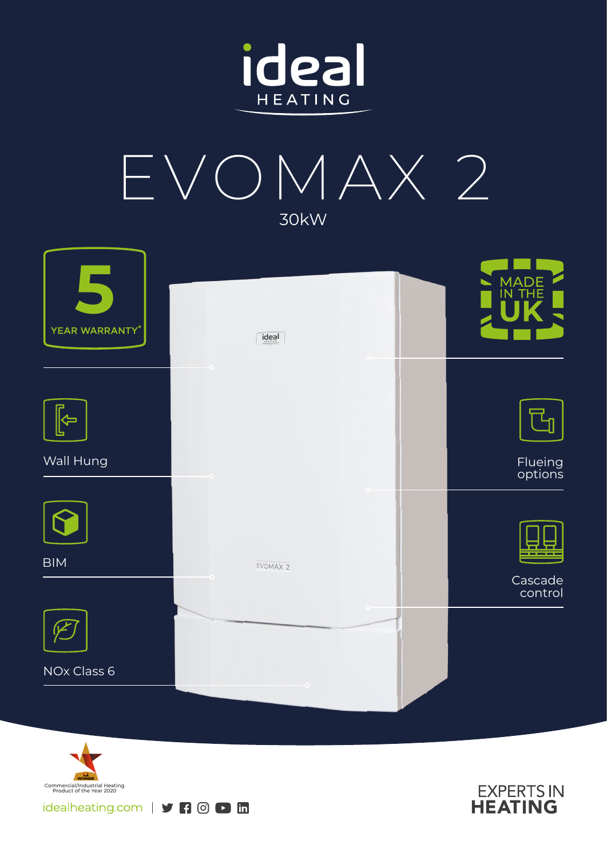







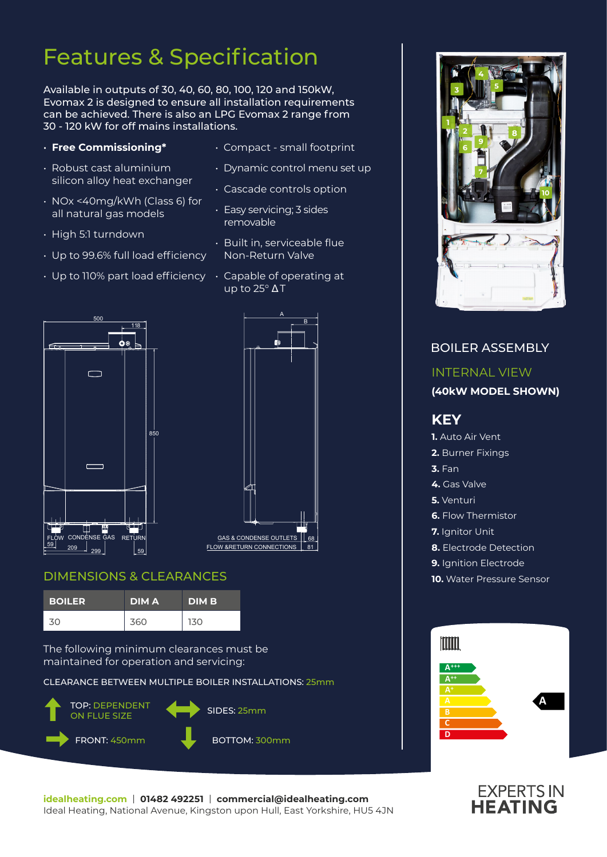# Features & Specification

Available in outputs of 30, 40, 60, 80, 100, 120 and 150kW, Evomax 2 is designed to ensure all installation requirements can be achieved. There is also an LPG Evomax 2 range from 30 - 120 kW for off mains installations.

#### • **Free Commissioning\***

- Robust cast aluminium silicon alloy heat exchanger
- NOx <40mg/kWh (Class 6) for all natural gas models
- High 5:1 turndown
- Up to 99.6% full load efficiency
- $\cdot$  Up to 110% part load efficiency  $\;\cdot\;$  Capable of operating at
- Compact small footprint
- Dynamic control menu set up
- Cascade controls option
- Easy servicing; 3 sides removable
- Built in, serviceable flue Non-Return Valve
- up to  $25^\circ \Delta T$





#### DIMENSIONS & CLEARANCES

| <b>BOILER</b> | <b>DIMA</b> | <b>DIM B</b> |
|---------------|-------------|--------------|
| 30.           | 360         | 130          |

The following minimum clearances must be maintained for operation and servicing:

CLEARANCE BETWEEN MULTIPLE BOILER INSTALLATIONS: 25mm





### BOILER ASSEMBLY INTERNAL VIEW **(40kW MODEL SHOWN) KEY 1.** Auto Air Vent **2.** Burner Fixings **3.** Fan **4.** Gas Valve **5.** Venturi **6.** Flow Thermistor **7.** Ianitor Unit **8.** Electrode Detection **9.** Ignition Electrode **10.** Water Pressure Sensor Imm **A+++ A++ A A**



**C D**

**idealheating.com** | **01482 492251** | **commercial@idealheating.com**  Ideal Heating, National Avenue, Kingston upon Hull, East Yorkshire, HU5 4JN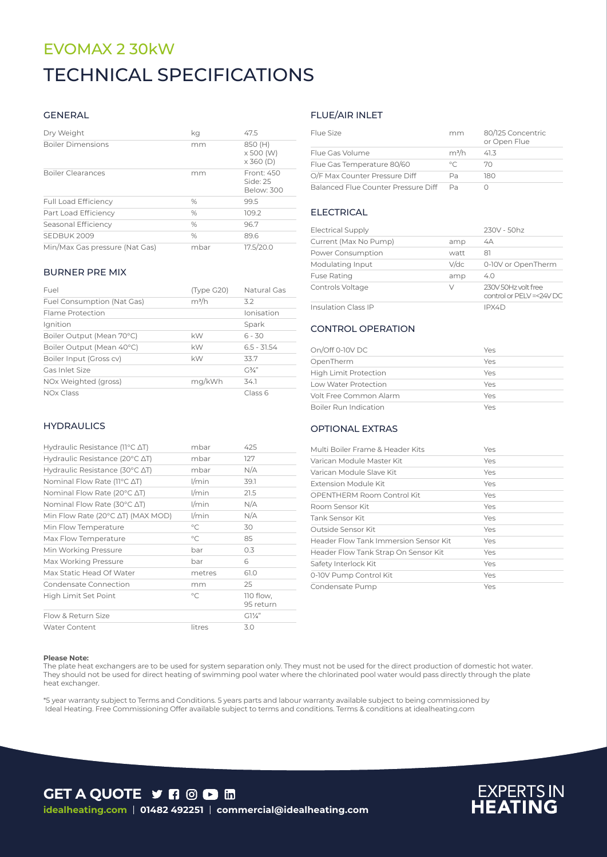## EVOMAX 2 30kW TECHNICAL SPECIFICATIONS

#### GENERAL

| Dry Weight                     | kq   | 47.5                                     |
|--------------------------------|------|------------------------------------------|
| <b>Boiler Dimensions</b>       | mm   | 850 (H)<br>x 500 (W)<br>$\times$ 360 (D) |
| <b>Boiler Clearances</b>       | mm   | Front: 450<br>Side: 25<br>Below: 300     |
| <b>Full Load Efficiency</b>    | $\%$ | 99.5                                     |
| Part Load Efficiency           | $\%$ | 109.2                                    |
| Seasonal Efficiency            | $\%$ | 96.7                                     |
| SEDBUK 2009                    | $\%$ | 89.6                                     |
| Min/Max Gas pressure (Nat Gas) | mbar | 17.5/20.0                                |

#### BURNER PRE MIX

| Fuel                       | (Type G20) | Natural Gas    |
|----------------------------|------------|----------------|
| Fuel Consumption (Nat Gas) | $m^3/h$    | 3.2            |
| Flame Protection           |            | Ionisation     |
| Ignition                   |            | Spark          |
| Boiler Output (Mean 70°C)  | kW         | $6 - 30$       |
| Boiler Output (Mean 40°C)  | kW         | $6.5 - 31.54$  |
| Boiler Input (Gross cv)    | kW         | 33.7           |
| Gas Inlet Size             |            | $G\frac{3}{4}$ |
| NOx Weighted (gross)       | mg/kWh     | 34.1           |
| NO <sub>x</sub> Class      |            | Class 6        |

#### **HYDRAULICS**

| Hydraulic Resistance ( $11^{\circ}$ C $\Delta$ T)   | mbar         | 425                    |
|-----------------------------------------------------|--------------|------------------------|
| Hydraulic Resistance (20°C ∆T)                      | mbar         | 127                    |
| Hydraulic Resistance (30 $\degree$ C $\triangle$ T) | mbar         | N/A                    |
| Nominal Flow Rate (11°C ΔT)                         | $1/m$ in     | 39.1                   |
| Nominal Flow Rate (20 $\degree$ C $\triangle$ T)    | l/min        | 21.5                   |
| Nominal Flow Rate (30°C ∆T)                         | $1/m$ in     | N/A                    |
| Min Flow Rate (20°C AT) (MAX MOD)                   | $1/m$ in     | N/A                    |
| Min Flow Temperature                                | $^{\circ}$ C | 30                     |
| Max Flow Temperature                                | °C           | 85                     |
| Min Working Pressure                                | bar          | 0.3                    |
| Max Working Pressure                                | bar          | 6                      |
| Max Static Head Of Water                            | metres       | 61.0                   |
| Condensate Connection                               | mm           | 25                     |
| High Limit Set Point                                | $\circ$ C    | 110 flow,<br>95 return |
| Flow & Return Size                                  |              | $G1\frac{1}{4}$        |
| <b>Water Content</b>                                | litres       | 3.0                    |

#### FLUE/AIR INLET

| Flue Size                           | mm      | 80/125 Concentric<br>or Open Flue |
|-------------------------------------|---------|-----------------------------------|
| Flue Gas Volume                     | $m^3/h$ | 41.3                              |
| Flue Gas Temperature 80/60          | $\circ$ | 70                                |
| O/F Max Counter Pressure Diff       | Рa      | 180                               |
| Balanced Flue Counter Pressure Diff | Pa      |                                   |

#### ELECTRICAL

| <b>Electrical Supply</b>   |      | 230V - 50hz                                    |
|----------------------------|------|------------------------------------------------|
| Current (Max No Pump)      | amp  | 4A                                             |
| Power Consumption          | watt | 81                                             |
| Modulating Input           | V/dc | 0-10V or OpenTherm                             |
| <b>Fuse Rating</b>         | amp  | 4.0                                            |
| Controls Voltage           | V    | 230V 50Hz volt free<br>control or PELV=<24V DC |
| <b>Insulation Class IP</b> |      | IPX4D                                          |

#### CONTROL OPERATION

| On/Off 0-10V DC              | Yes |
|------------------------------|-----|
| OpenTherm                    | Yes |
| <b>High Limit Protection</b> | Yes |
| Low Water Protection         | Yes |
| Volt Free Common Alarm       | Yes |
| Boiler Run Indication        | Yes |

#### OPTIONAL EXTRAS

| Multi Boiler Frame & Header Kits      | Yes |
|---------------------------------------|-----|
| Varican Module Master Kit             | Yes |
| Varican Module Slave Kit              | Yes |
| Extension Module Kit                  | Yes |
| OPENTHERM Room Control Kit            | Yes |
| Room Sensor Kit                       | Yes |
| Tank Sensor Kit                       | Yes |
| Outside Sensor Kit                    | Yes |
| Header Flow Tank Immersion Sensor Kit | Yes |
| Header Flow Tank Strap On Sensor Kit  | Yes |
| Safety Interlock Kit                  | Yes |
| 0-10V Pump Control Kit                | Yes |
| Condensate Pump                       | Yes |

#### **Please Note:**

The plate heat exchangers are to be used for system separation only. They must not be used for the direct production of domestic hot water. They should not be used for direct heating of swimming pool water where the chlorinated pool water would pass directly through the plate heat exchanger.

\*5 year warranty subject to Terms and Conditions. 5 years parts and labour warranty available subject to being commissioned by Ideal Heating. Free Commissioning Offer available subject to terms and conditions. Terms & conditions at idealheating.com